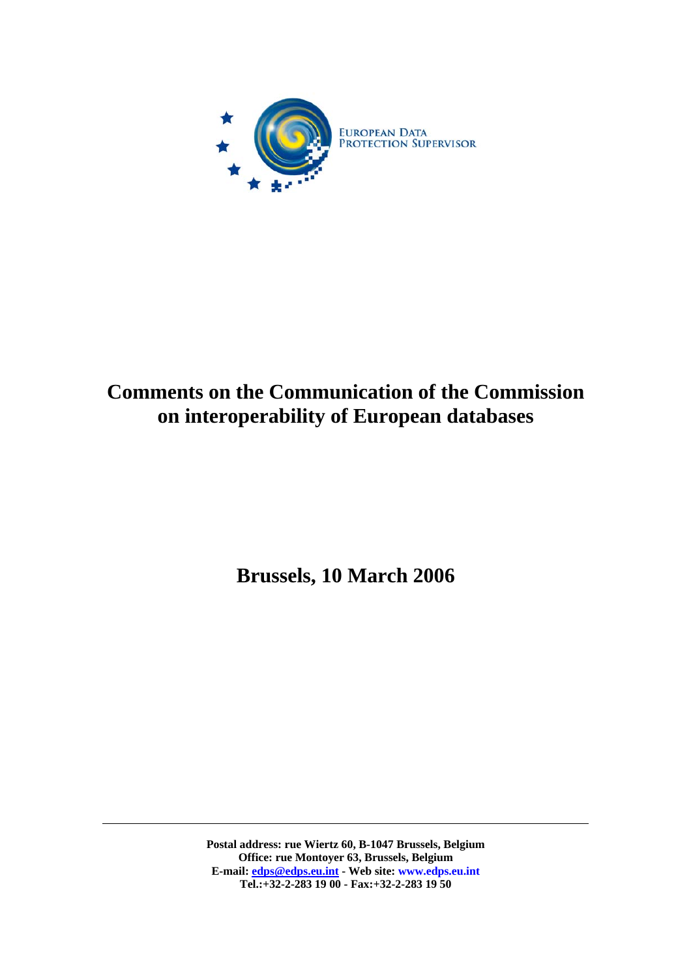

# **Comments on the Communication of the Commission on interoperability of European databases**

**Brussels, 10 March 2006** 

**Postal address: rue Wiertz 60, B-1047 Brussels, Belgium Office: rue Montoyer 63, Brussels, Belgium E-mail: [edps@edps.eu.int](mailto:edps@edps.eu.int) - Web site: www.edps.eu.int Tel.:+32-2-283 19 00 - Fax:+32-2-283 19 50**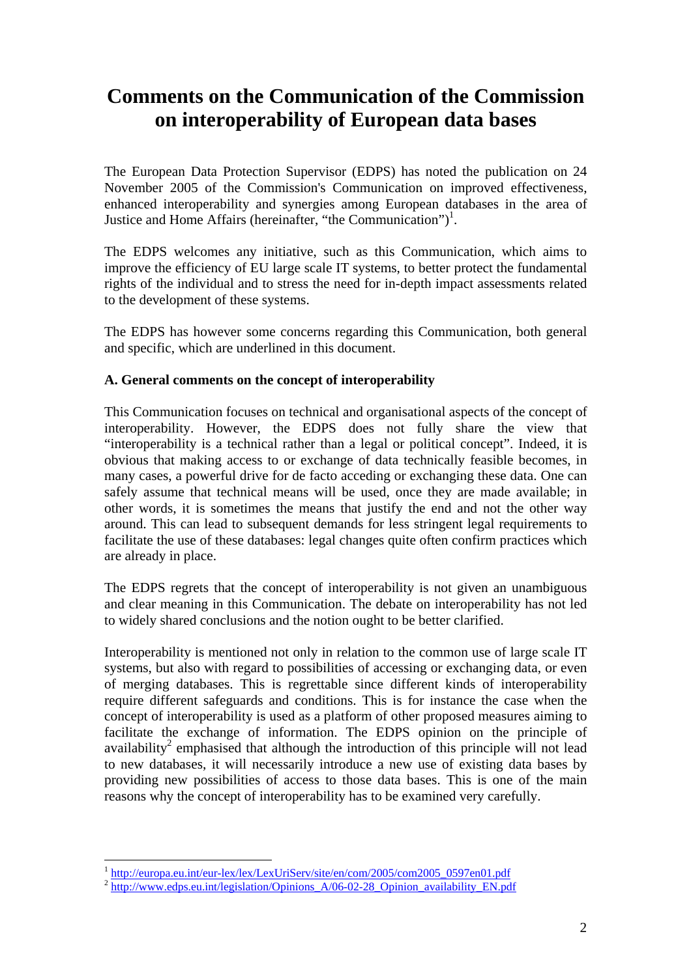## **Comments on the Communication of the Commission on interoperability of European data bases**

The European Data Protection Supervisor (EDPS) has noted the publication on 24 November 2005 of the Commission's Communication on improved effectiveness, enhanced interoperability and synergies among European databases in the area of Justice and Home Affairs (hereinafter, "the Communication")<sup>[1](#page-1-0)</sup>.

The EDPS welcomes any initiative, such as this Communication, which aims to improve the efficiency of EU large scale IT systems, to better protect the fundamental rights of the individual and to stress the need for in-depth impact assessments related to the development of these systems.

The EDPS has however some concerns regarding this Communication, both general and specific, which are underlined in this document.

#### **A. General comments on the concept of interoperability**

This Communication focuses on technical and organisational aspects of the concept of interoperability. However, the EDPS does not fully share the view that "interoperability is a technical rather than a legal or political concept". Indeed, it is obvious that making access to or exchange of data technically feasible becomes, in many cases, a powerful drive for de facto acceding or exchanging these data. One can safely assume that technical means will be used, once they are made available; in other words, it is sometimes the means that justify the end and not the other way around. This can lead to subsequent demands for less stringent legal requirements to facilitate the use of these databases: legal changes quite often confirm practices which are already in place.

The EDPS regrets that the concept of interoperability is not given an unambiguous and clear meaning in this Communication. The debate on interoperability has not led to widely shared conclusions and the notion ought to be better clarified.

Interoperability is mentioned not only in relation to the common use of large scale IT systems, but also with regard to possibilities of accessing or exchanging data, or even of merging databases. This is regrettable since different kinds of interoperability require different safeguards and conditions. This is for instance the case when the concept of interoperability is used as a platform of other proposed measures aiming to facilitate the exchange of information. The EDPS opinion on the principle of availability<sup>[2](#page-1-1)</sup> emphasised that although the introduction of this principle will not lead to new databases, it will necessarily introduce a new use of existing data bases by providing new possibilities of access to those data bases. This is one of the main reasons why the concept of interoperability has to be examined very carefully.

<span id="page-1-0"></span> $1$  http://europa.eu.int/eur-lex/lex/LexUriServ/site/en/com/2005/com2005\_0597en01.pdf

<span id="page-1-1"></span> $\frac{2 \text{ high-value maximum on } 1000 \text{ m}^2}{\text{http://www.edos.eu.int/legislation/Options} A/06-02-28}$  Opinion availability EN.pdf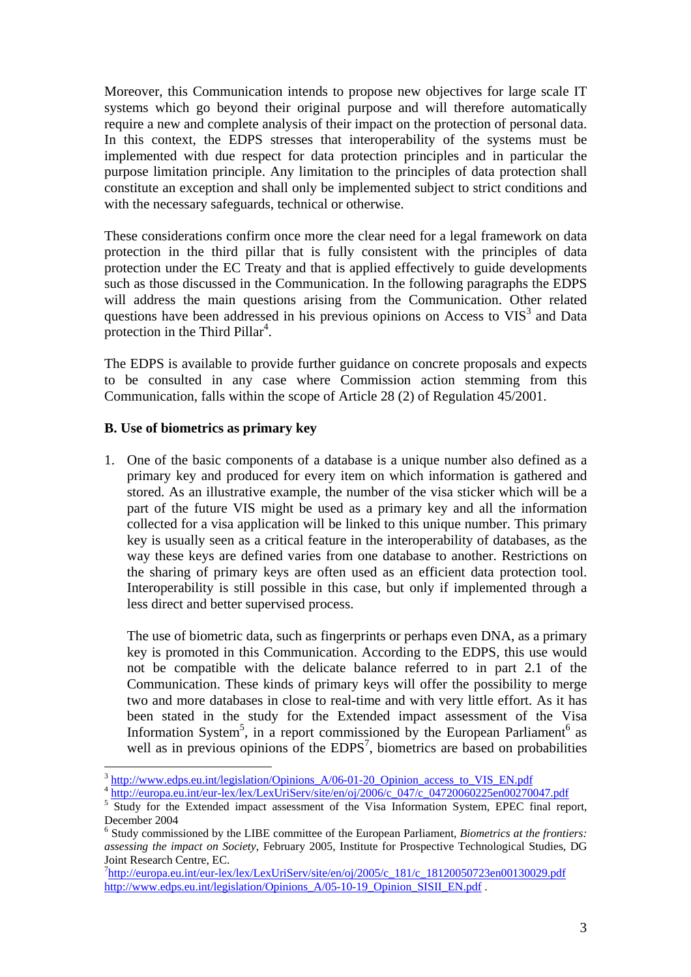Moreover, this Communication intends to propose new objectives for large scale IT systems which go beyond their original purpose and will therefore automatically require a new and complete analysis of their impact on the protection of personal data. In this context, the EDPS stresses that interoperability of the systems must be implemented with due respect for data protection principles and in particular the purpose limitation principle. Any limitation to the principles of data protection shall constitute an exception and shall only be implemented subject to strict conditions and with the necessary safeguards, technical or otherwise.

These considerations confirm once more the clear need for a legal framework on data protection in the third pillar that is fully consistent with the principles of data protection under the EC Treaty and that is applied effectively to guide developments such as those discussed in the Communication. In the following paragraphs the EDPS will address the main questions arising from the Communication. Other related questions have been addressed in his previous opinions on Access to  $VIS<sup>3</sup>$  $VIS<sup>3</sup>$  $VIS<sup>3</sup>$  and Data protection in the Third Pillar<sup>[4](#page-2-1)</sup>.

The EDPS is available to provide further guidance on concrete proposals and expects to be consulted in any case where Commission action stemming from this Communication, falls within the scope of Article 28 (2) of Regulation 45/2001.

#### **B. Use of biometrics as primary key**

 $\overline{a}$ 

1. One of the basic components of a database is a unique number also defined as a primary key and produced for every item on which information is gathered and stored. As an illustrative example, the number of the visa sticker which will be a part of the future VIS might be used as a primary key and all the information collected for a visa application will be linked to this unique number. This primary key is usually seen as a critical feature in the interoperability of databases, as the way these keys are defined varies from one database to another. Restrictions on the sharing of primary keys are often used as an efficient data protection tool. Interoperability is still possible in this case, but only if implemented through a less direct and better supervised process.

The use of biometric data, such as fingerprints or perhaps even DNA, as a primary key is promoted in this Communication. According to the EDPS, this use would not be compatible with the delicate balance referred to in part 2.1 of the Communication. These kinds of primary keys will offer the possibility to merge two and more databases in close to real-time and with very little effort. As it has been stated in the study for the Extended impact assessment of the Visa Information System<sup>[5](#page-2-2)</sup>, in a report commissioned by the European Parliament<sup>[6](#page-2-3)</sup> as well as in previous opinions of the  $EDPS<sup>7</sup>$  $EDPS<sup>7</sup>$  $EDPS<sup>7</sup>$ , biometrics are based on probabilities

<span id="page-2-1"></span><span id="page-2-0"></span>

<sup>&</sup>lt;sup>3</sup> [http://www.edps.eu.int/legislation/Opinions\\_A/06-01-20\\_Opinion\\_access\\_to\\_VIS\\_EN.pdf](http://www.edps.eu.int/legislation/Opinions_A/06-01-20_Opinion_access_to_VIS_EN.pdf) 4 http://europa.eu.int/eur-lex/lex/LexUriServ/site/en/oj/2006/c\_047/c\_04720060225en00270047.pdf

<span id="page-2-2"></span><sup>&</sup>lt;sup>5</sup> Study for the Extended impact assessment of the Visa Information System, EPEC final report, December 2004

<span id="page-2-3"></span>Study commissioned by the LIBE committee of the European Parliament, *Biometrics at the frontiers: assessing the impact on Society*, February 2005, Institute for Prospective Technological Studies, DG Joint Research Centre, EC. 7

<span id="page-2-4"></span><sup>&</sup>lt;sup>7</sup>[http://europa.eu.int/eur-lex/lex/LexUriServ/site/en/oj/2005/c\\_181/c\\_18120050723en00130029.pdf](http://europa.eu.int/eur-lex/lex/LexUriServ/site/en/oj/2005/c_181/c_18120050723en00130029.pdf) [http://www.edps.eu.int/legislation/Opinions\\_A/05-10-19\\_Opinion\\_SISII\\_EN.pdf](http://www.edps.eu.int/legislation/Opinions_A/05-10-19_Opinion_SISII_EN.pdf) .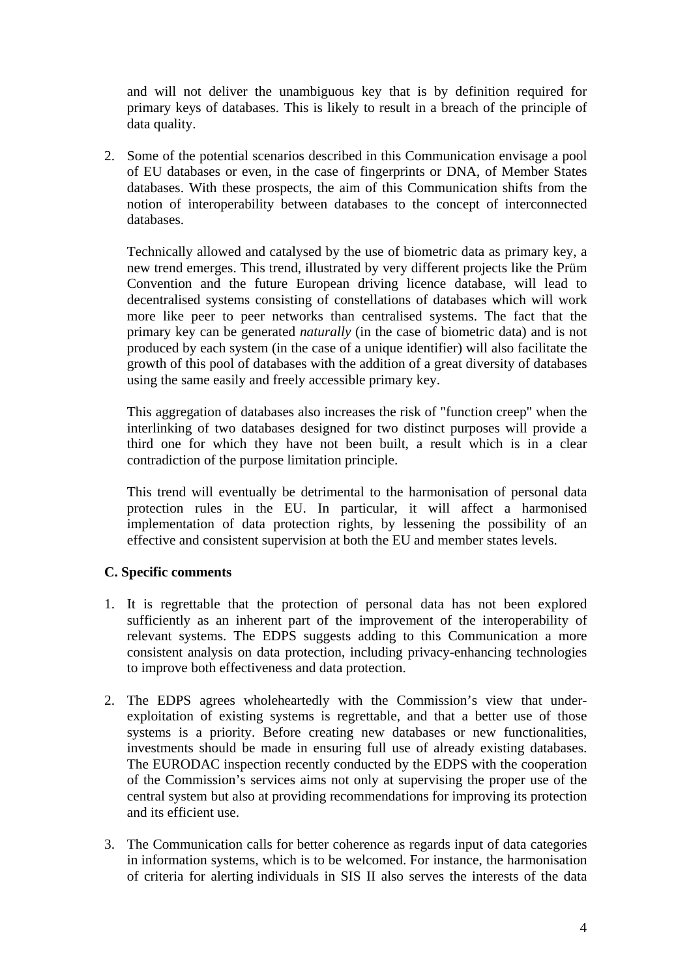and will not deliver the unambiguous key that is by definition required for primary keys of databases. This is likely to result in a breach of the principle of data quality.

2. Some of the potential scenarios described in this Communication envisage a pool of EU databases or even, in the case of fingerprints or DNA, of Member States databases. With these prospects, the aim of this Communication shifts from the notion of interoperability between databases to the concept of interconnected databases.

Technically allowed and catalysed by the use of biometric data as primary key, a new trend emerges. This trend, illustrated by very different projects like the Prüm Convention and the future European driving licence database, will lead to decentralised systems consisting of constellations of databases which will work more like peer to peer networks than centralised systems. The fact that the primary key can be generated *naturally* (in the case of biometric data) and is not produced by each system (in the case of a unique identifier) will also facilitate the growth of this pool of databases with the addition of a great diversity of databases using the same easily and freely accessible primary key.

This aggregation of databases also increases the risk of "function creep" when the interlinking of two databases designed for two distinct purposes will provide a third one for which they have not been built, a result which is in a clear contradiction of the purpose limitation principle.

This trend will eventually be detrimental to the harmonisation of personal data protection rules in the EU. In particular, it will affect a harmonised implementation of data protection rights, by lessening the possibility of an effective and consistent supervision at both the EU and member states levels.

### **C. Specific comments**

- 1. It is regrettable that the protection of personal data has not been explored sufficiently as an inherent part of the improvement of the interoperability of relevant systems. The EDPS suggests adding to this Communication a more consistent analysis on data protection, including privacy-enhancing technologies to improve both effectiveness and data protection.
- 2. The EDPS agrees wholeheartedly with the Commission's view that underexploitation of existing systems is regrettable, and that a better use of those systems is a priority. Before creating new databases or new functionalities, investments should be made in ensuring full use of already existing databases. The EURODAC inspection recently conducted by the EDPS with the cooperation of the Commission's services aims not only at supervising the proper use of the central system but also at providing recommendations for improving its protection and its efficient use.
- 3. The Communication calls for better coherence as regards input of data categories in information systems, which is to be welcomed. For instance, the harmonisation of criteria for alerting individuals in SIS II also serves the interests of the data